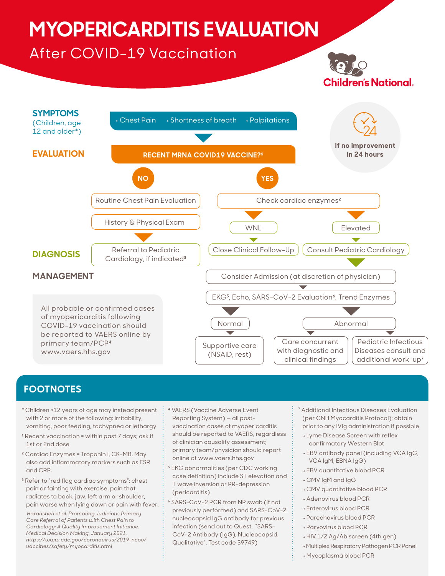# **MYOPERICARDITIS EVALUATION**

# After COVID-19 Vaccination





## **FOOTNOTES**

- \*Children <12 years of age may instead present with 2 or more of the following: irritability, vomiting, poor feeding, tachypnea or lethargy
- <sup>1</sup> Recent vaccination = within past 7 days; ask if 1st or 2nd dose
- ² Cardiac Enzymes = Troponin I, CK-MB. May also add inflammatory markers such as ESR and CRP.
- ³ Refer to "red flag cardiac symptoms": chest pain or fainting with exercise, pain that radiates to back, jaw, left arm or shoulder, pain worse when lying down or pain with fever.

 *Harahsheh et al. Promoting Judicious Primary Care Referral of Patients with Chest Pain to Cardiology: A Quality Improvement Initiative. Medical Decision Making. January 2021. https://www.cdc.gov/coronavirus/2019-ncov/ vaccines/safety/myocarditis.html*

- ⁴ VAERS (Vaccine Adverse Event Reporting System) — all postvaccination cases of myopericarditis should be reported to VAERS, regardless of clinician causality assessment; primary team/physician should report online at www.vaers.hhs.gov
- <sup>5</sup> EKG abnormalities (per CDC working case definition) include ST elevation and T wave inversion or PR-depression (pericarditis)
- ⁶ SARS-CoV-2 PCR from NP swab (if not previously performed) and SARS-CoV-2 nucleocapsid IgG antibody for previous infection (send out to Quest, "SARS-CoV-2 Antibody (IgG), Nucleocapsid, Qualitative", Test code 39749)
- 7 Additional Infectious Diseases Evaluation (per CNH Myocarditis Protocol); obtain prior to any IVIg administration if possible
- Lyme Disease Screen with reflex confirmatory Western Blot
- EBV antibody panel (including VCA IgG, VCA IgM, EBNA IgG)
- EBV quantitative blood PCR
- CMV IgM and IgG
- CMV quantitative blood PCR
- Adenovirus blood PCR
- Enterovirus blood PCR
- Parechovirus blood PCR
- Parvovirus blood PCR
- HIV 1/2 Ag/Ab screen (4th gen)
- Multiplex Respiratory Pathogen PCR Panel
- Mycoplasma blood PCR